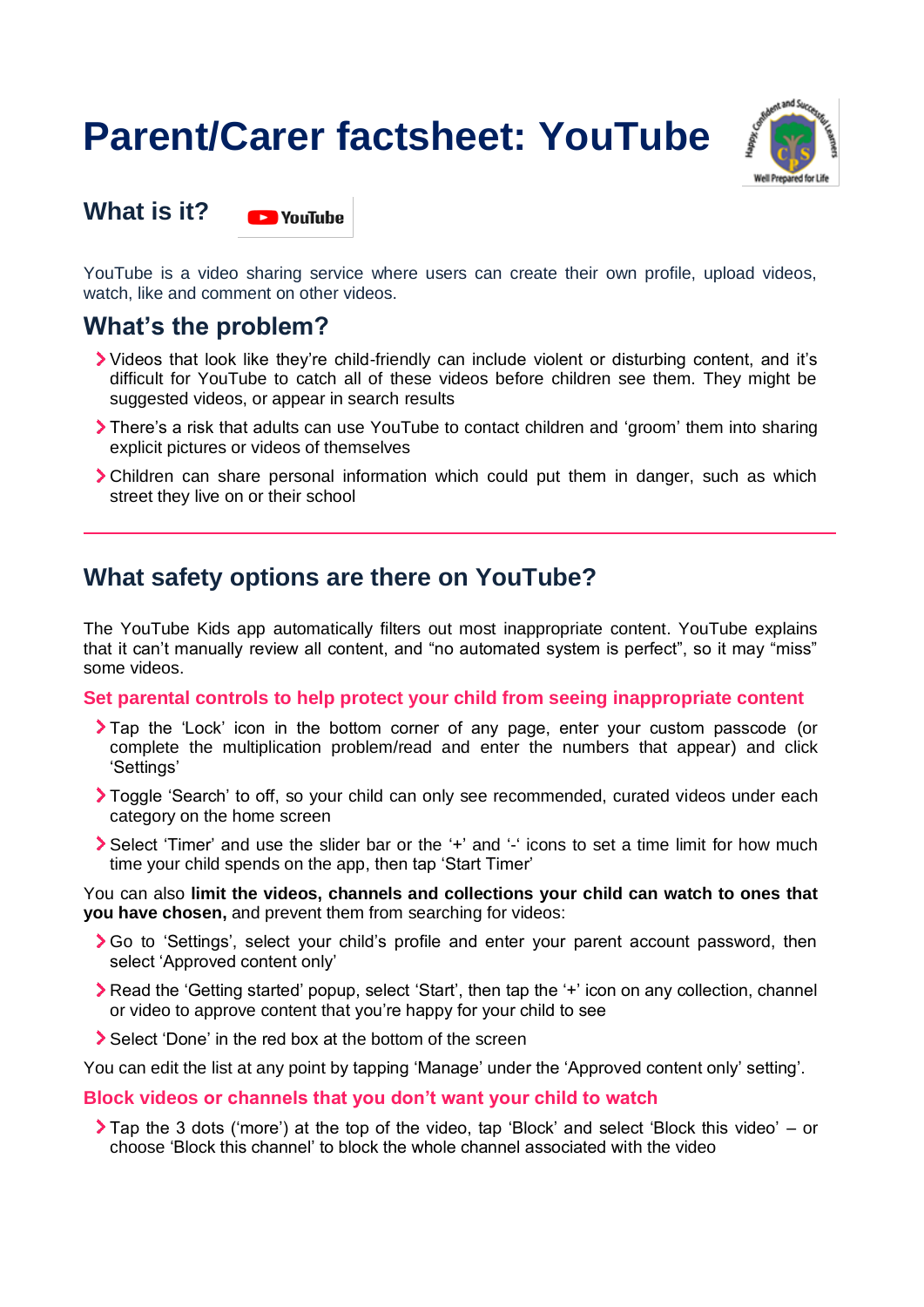# **Parent/Carer factsheet: YouTube**



**What is it? DE VouTube** 

YouTube is a video sharing service where users can create their own profile, upload videos, watch, like and comment on other videos.

## **What's the problem?**

- Videos that look like they're child-friendly can include violent or disturbing content, and it's difficult for YouTube to catch all of these videos before children see them. They might be suggested videos, or appear in search results
- There's a risk that adults can use YouTube to contact children and 'groom' them into sharing explicit pictures or videos of themselves
- Children can share personal information which could put them in danger, such as which street they live on or their school

## **What safety options are there on YouTube?**

The YouTube Kids app automatically filters out most inappropriate content. YouTube explains that it can't manually review all content, and "no automated system is perfect", so it may "miss" some videos.

## **Set parental controls to help protect your child from seeing inappropriate content**

- Tap the 'Lock' icon in the bottom corner of any page, enter your custom passcode (or complete the multiplication problem/read and enter the numbers that appear) and click 'Settings'
- Toggle 'Search' to off, so your child can only see recommended, curated videos under each category on the home screen
- Select 'Timer' and use the slider bar or the '+' and '-' icons to set a time limit for how much time your child spends on the app, then tap 'Start Timer'

You can also **limit the videos, channels and collections your child can watch to ones that you have chosen,** and prevent them from searching for videos:

- Go to 'Settings', select your child's profile and enter your parent account password, then select 'Approved content only'
- Read the 'Getting started' popup, select 'Start', then tap the '+' icon on any collection, channel or video to approve content that you're happy for your child to see
- Select 'Done' in the red box at the bottom of the screen

You can edit the list at any point by tapping 'Manage' under the 'Approved content only' setting'.

## **Block videos or channels that you don't want your child to watch**

Tap the 3 dots ('more') at the top of the video, tap 'Block' and select 'Block this video' – or choose 'Block this channel' to block the whole channel associated with the video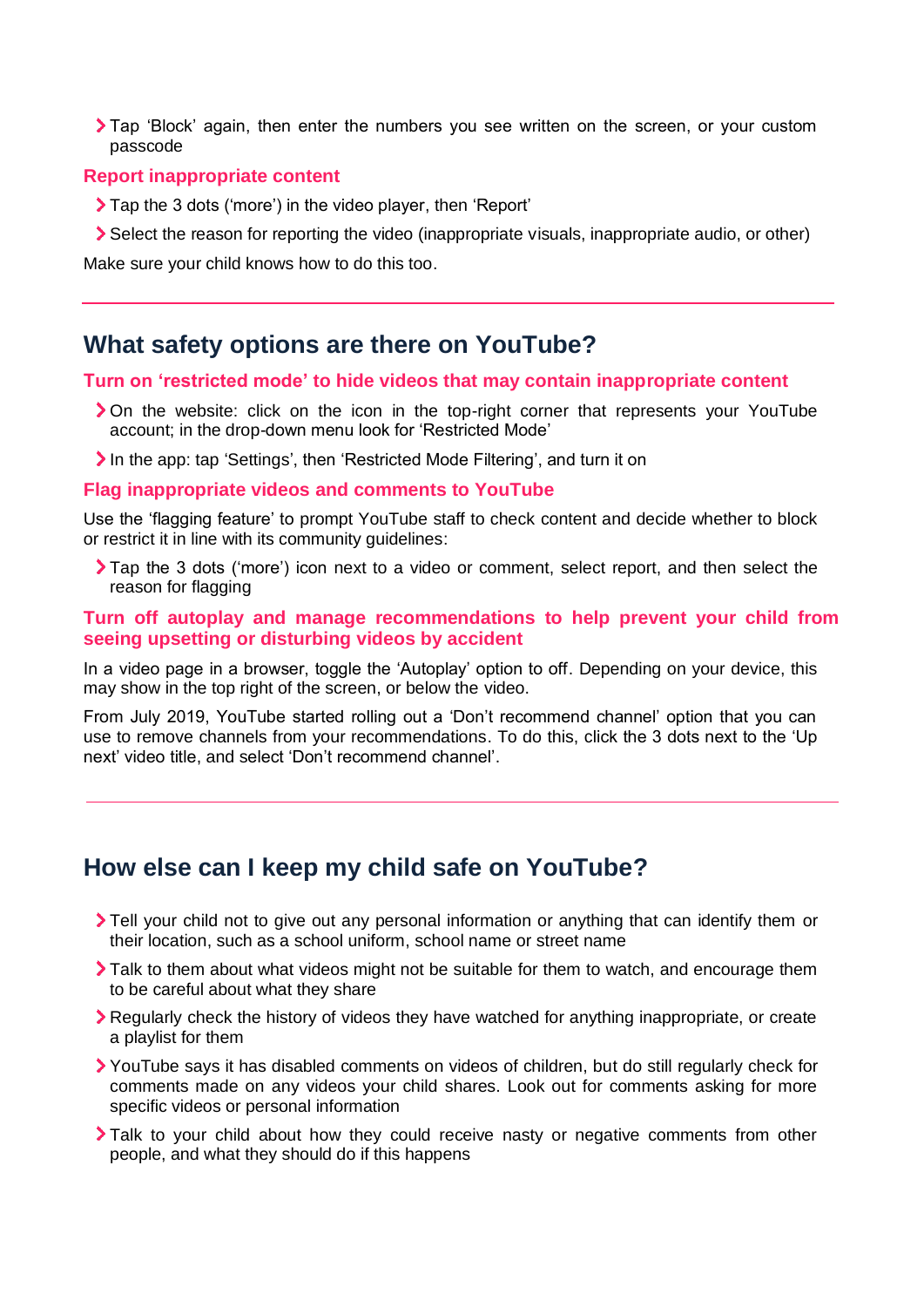Tap 'Block' again, then enter the numbers you see written on the screen, or your custom passcode

#### **Report inappropriate content**

- Tap the 3 dots ('more') in the video player, then 'Report'
- Select the reason for reporting the video (inappropriate visuals, inappropriate audio, or other)

Make sure your child knows how to do this too.

## **What safety options are there on YouTube?**

#### **Turn on 'restricted mode' to hide videos that may contain inappropriate content**

- On the website: click on the icon in the top-right corner that represents your YouTube account; in the drop-down menu look for 'Restricted Mode'
- In the app: tap 'Settings', then 'Restricted Mode Filtering', and turn it on

#### **Flag inappropriate videos and comments to YouTube**

Use the 'flagging feature' to prompt YouTube staff to check content and decide whether to block or restrict it in line with its community guidelines:

Tap the 3 dots ('more') icon next to a video or comment, select report, and then select the reason for flagging

## **Turn off autoplay and manage recommendations to help prevent your child from seeing upsetting or disturbing videos by accident**

In a video page in a browser, toggle the 'Autoplay' option to off. Depending on your device, this may show in the top right of the screen, or below the video.

From July 2019, YouTube started rolling out a 'Don't recommend channel' option that you can use to remove channels from your recommendations. To do this, click the 3 dots next to the 'Up next' video title, and select 'Don't recommend channel'.

## **How else can I keep my child safe on YouTube?**

- Tell your child not to give out any personal information or anything that can identify them or their location, such as a school uniform, school name or street name
- Talk to them about what videos might not be suitable for them to watch, and encourage them to be careful about what they share
- **EXECUTE:** Regularly check the history of videos they have watched for anything inappropriate, or create a playlist for them
- YouTube says it has disabled comments on videos of children, but do still regularly check for comments made on any videos your child shares. Look out for comments asking for more specific videos or personal information
- Talk to your child about how they could receive nasty or negative comments from other people, and what they should do if this happens